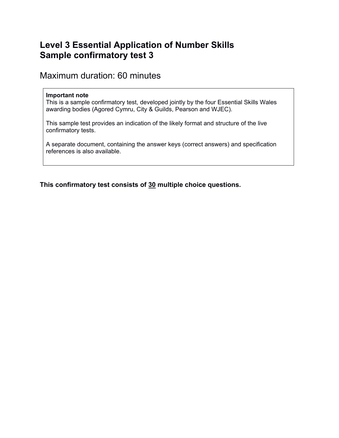# **Level 3 Essential Application of Number Skills Sample confirmatory test 3**

Maximum duration: 60 minutes

#### **Important note**

This is a sample confirmatory test, developed jointly by the four Essential Skills Wales awarding bodies (Agored Cymru, City & Guilds, Pearson and WJEC).

This sample test provides an indication of the likely format and structure of the live confirmatory tests.

A separate document, containing the answer keys (correct answers) and specification references is also available.

**This confirmatory test consists of 30 multiple choice questions.**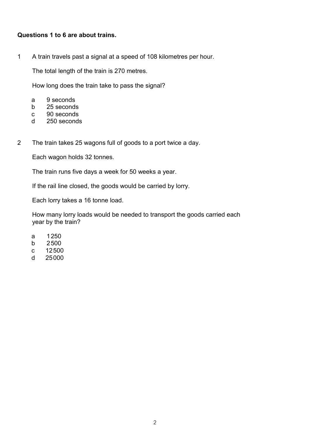#### Questions 1 to 6 are about trains.

 $\mathbf{1}$ A train travels past a signal at a speed of 108 kilometres per hour.

The total length of the train is 270 metres.

How long does the train take to pass the signal?

- 9 seconds  $\mathsf{a}$
- $b$ 25 seconds
- 90 seconds  $\mathbf{C}$
- 250 seconds d
- $\overline{2}$ The train takes 25 wagons full of goods to a port twice a day.

Each wagon holds 32 tonnes.

The train runs five days a week for 50 weeks a year.

If the rail line closed, the goods would be carried by lorry.

Each lorry takes a 16 tonne load.

How many lorry loads would be needed to transport the goods carried each year by the train?

- 1250 a
- 2500  $\mathsf{b}$
- 12500  $\mathbf{c}$
- $\mathsf{d}$ 25000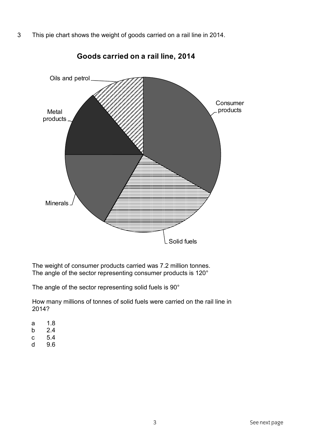3 This pie chart shows the weight of goods carried on a rail line in 2014.



Goods carried on a rail line, 2014

The weight of consumer products carried was 7.2 million tonnes. The angle of the sector representing consumer products is 120°

The angle of the sector representing solid fuels is 90°

How many millions of tonnes of solid fuels were carried on the rail line in 2014?

- $1.8$ a
- $2.4$  $\mathsf b$
- $\mathbf{C}$ 5.4
- 9.6  $\mathsf{d}$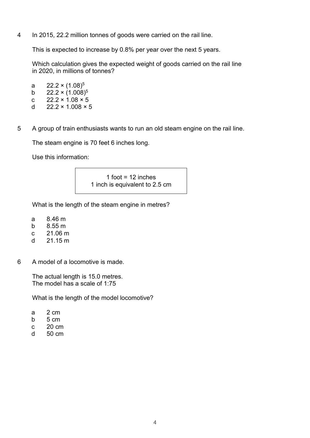$\overline{4}$ In 2015, 22.2 million tonnes of goods were carried on the rail line.

This is expected to increase by 0.8% per year over the next 5 years.

Which calculation gives the expected weight of goods carried on the rail line in 2020, in millions of tonnes?

 $22.2 \times (1.08)^5$ a  $22.2 \times (1.008)^5$  $b$  $\mathbf{C}$  $22.2 \times 1.08 \times 5$  $\mathsf{d}$  $22.2 \times 1.008 \times 5$ 

5 A group of train enthusiasts wants to run an old steam engine on the rail line.

The steam engine is 70 feet 6 inches long.

Use this information:

1 foot =  $12$  inches 1 inch is equivalent to 2.5 cm

What is the length of the steam engine in metres?

- $8.46<sub>m</sub>$  $\mathsf{a}$
- $8.55 m$  $b$
- $21.06 m$  $\mathbf{C}$
- $21.15 m$  $\mathsf{d}$
- 6 A model of a locomotive is made.

The actual length is 15.0 metres. The model has a scale of 1:75

What is the length of the model locomotive?

- $\mathbf{a}$  $2 \text{ cm}$
- 5 cm  $b$
- 20 cm  $\mathbf{C}$
- $\mathsf{d}$ 50 cm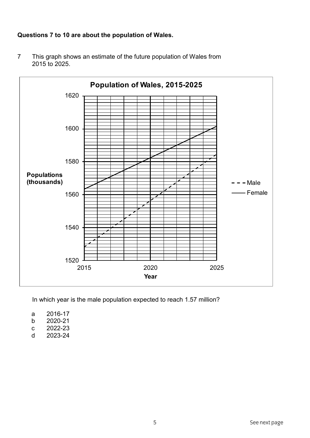# Questions 7 to 10 are about the population of Wales.



This graph shows an estimate of the future population of Wales from  $\overline{7}$ 2015 to 2025.

In which year is the male population expected to reach 1.57 million?

- 2016-17 a
- 2020-21  $\mathsf b$
- 2022-23  $\mathbf{C}$
- 2023-24  $\mathsf{d}$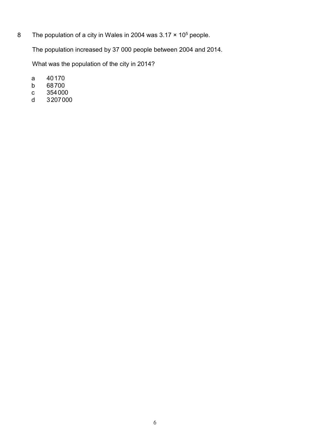$\bf{8}$ The population of a city in Wales in 2004 was  $3.17 \times 10^5$  people.

The population increased by 37 000 people between 2004 and 2014.

What was the population of the city in 2014?

- 40170  $\mathsf{a}$
- 68700  $\mathsf b$
- 354000  $\mathbf{C}$
- 3207000  $\mathsf{d}$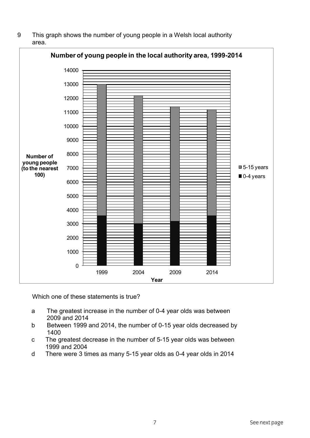9 This graph shows the number of young people in a Welsh local authority area.



Which one of these statements is true?

- a The greatest increase in the number of 0-4 year olds was between 2009 and 2014
- b Between 1999 and 2014, the number of 0-15 year olds decreased by 1400
- c The greatest decrease in the number of  $5-15$  year olds was between 1999 and 2004
- d There were 3 times as many 5-15 year olds as 0-4 year olds in 2014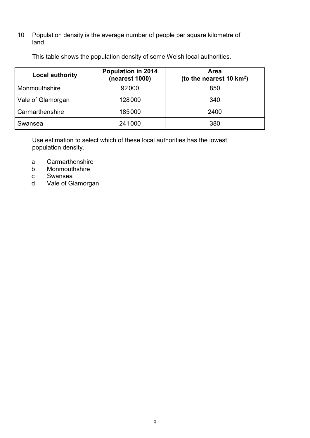Population density is the average number of people per square kilometre of 10  $land.$ 

| <b>Local authority</b> | <b>Population in 2014</b><br>(nearest 1000) | <b>Area</b><br>(to the nearest 10 $km^2$ ) |
|------------------------|---------------------------------------------|--------------------------------------------|
| Monmouthshire          | 92000                                       | 850                                        |
| Vale of Glamorgan      | 128000                                      | 340                                        |
| Carmarthenshire        | 185000                                      | 2400                                       |
| Swansea                | 241000                                      | 380                                        |

This table shows the population density of some Welsh local authorities.

Use estimation to select which of these local authorities has the lowest population density.

- Carmarthenshire a
- Monmouthshire  $b$
- $\mathbf{C}$ Swansea
- Vale of Glamorgan  $\mathsf{d}$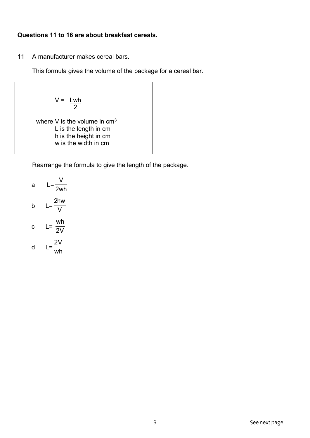## **Questions 11 to 16 are about breakfast cereals.**

11 A manufacturer makes cereal bars.

This formula gives the volume of the package for a cereal bar.

 $V = \underline{Lwh}$  $\sim$  2

> where V is the volume in  $cm<sup>3</sup>$  $L$  is the length in cm h is the height in cm w is the width in cm

Rearrange the formula to give the length of the package.

a 
$$
L = \frac{V}{2wh}
$$
  
b  $L = \frac{2hw}{V}$   
c  $L = \frac{wh}{2V}$   
d  $L = \frac{2V}{wh}$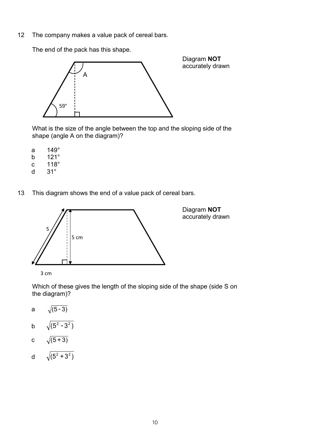$12$ The company makes a value pack of cereal bars.

> Diagram NOT accurately drawn  $\overline{A}$  $59^\circ$

The end of the pack has this shape.

What is the size of the angle between the top and the sloping side of the shape (angle A on the diagram)?

- $149^\circ$ a
- $121^\circ$  $\mathsf{b}$
- $\mathbf{C}$  $118^\circ$
- $31^\circ$  $\mathsf{d}$
- 13 This diagram shows the end of a value pack of cereal bars.



3 cm

Which of these gives the length of the sloping side of the shape (side S on the diagram)?

- $\sqrt{(5-3)}$ a
- $\sqrt{(5^2-3^2)}$  $b$
- c  $\sqrt{(5+3)}$
- d  $\sqrt{(5^2+3^2)}$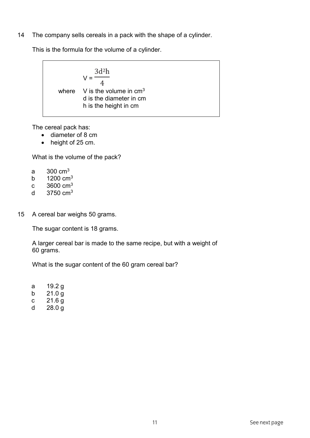14 The company sells cereals in a pack with the shape of a cylinder.

This is the formula for the volume of a cylinder.

$$
V = \frac{3d^2h}{4}
$$
  
where V is the volume in cm<sup>3</sup>  
d is the diameter in cm  
h is the height in cm

The cereal pack has:

- $\bullet$  diameter of 8 cm
- $\bullet$  height of 25 cm.

What is the volume of the pack?

- a  $300 \text{ cm}^3$
- b  $1200 \text{ cm}^3$
- c  $3600 \text{ cm}^3$
- d  $3750 \text{ cm}^3$
- 15 A cereal bar weighs 50 grams.

The sugar content is 18 grams.

A larger cereal bar is made to the same recipe, but with a weight of 60 grams.

What is the sugar content of the 60 gram cereal bar?

a 19.2 g

- b  $21.0 g$
- c  $21.6 g$
- d 28.0 g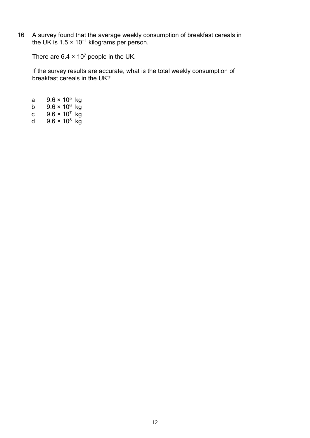A survey found that the average weekly consumption of breakfast cereals in the UK is  $1.5 \times 10^{-1}$  kilograms per person.  $16$ 

There are  $6.4 \times 10^7$  people in the UK.

If the survey results are accurate, what is the total weekly consumption of breakfast cereals in the UK?

 $9.6 \times 10^5$  kg  $\mathsf{a}$  $9.6 \times 10^6$  kg<br> $9.6 \times 10^7$  kg  $b$  $\mathbf{C}$  $9.6 \times 10^8$  kg  $d$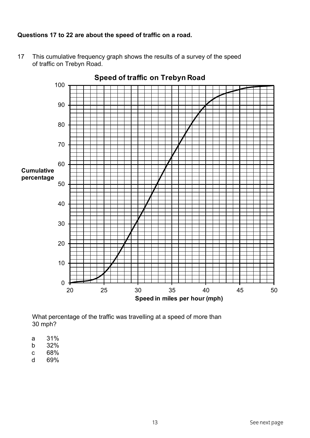# Questions 17 to 22 are about the speed of traffic on a road.

This cumulative frequency graph shows the results of a survey of the speed  $17$ of traffic on Trebyn Road.

Speed of traffic on Trebyn Road 100 90 80 70 60 **Cumulative** percentage 50 40 30 20  $10$  $\overline{0}$ 25 30 35 45 50 20 40 Speed in miles per hour (mph)

What percentage of the traffic was travelling at a speed of more than 30 mph?

- 31%  $\mathsf{a}$
- 32%  $\mathsf{b}$
- 68%  $\mathbf{c}$
- 69%  $\mathsf{d}$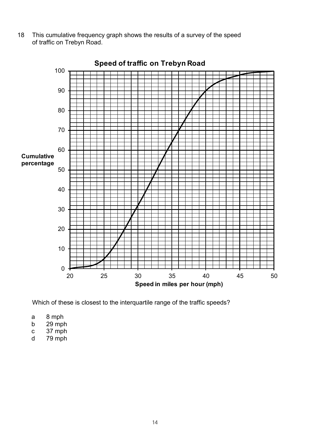This cumulative frequency graph shows the results of a survey of the speed 18 of traffic on Trebyn Road.



Which of these is closest to the interquartile range of the traffic speeds?

- 8 mph a
- $29$  mph  $b$
- 37 mph  $\mathbf{C}$
- $79$  mph  $\mathsf{d}$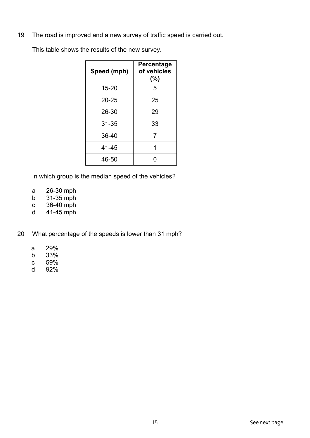The road is improved and a new survey of traffic speed is carried out. 19

This table shows the results of the new survey.

| Speed (mph) | Percentage<br>of vehicles<br>(%) |
|-------------|----------------------------------|
| $15 - 20$   | 5                                |
| 20-25       | 25                               |
| 26-30       | 29                               |
| $31 - 35$   | 33                               |
| 36-40       | 7                                |
| 41-45       | 1                                |
| 46-50       | O                                |

In which group is the median speed of the vehicles?

- 26-30 mph  $\mathsf{a}$
- 31-35 mph  $b$
- 36-40 mph  $\mathbf{C}$
- 41-45 mph d
- What percentage of the speeds is lower than 31 mph? 20
	- 29%  $\mathsf{a}$
	- 33%  $\mathsf b$
	- 59%  $\mathbf{c}$
	- $\mathsf{d}$ 92%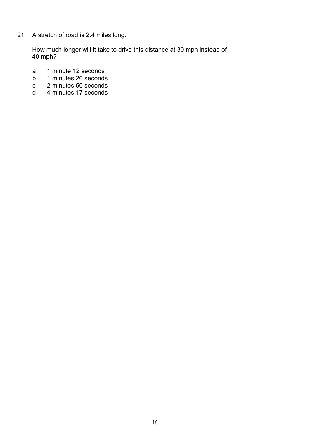$21$ A stretch of road is 2.4 miles long.

> How much longer will it take to drive this distance at 30 mph instead of 40 mph?

- 1 minute 12 seconds  $\mathsf{a}$
- $b$ 1 minutes 20 seconds
- $\mathbf{c}$ 2 minutes 50 seconds
- $\mathsf{d}$ 4 minutes 17 seconds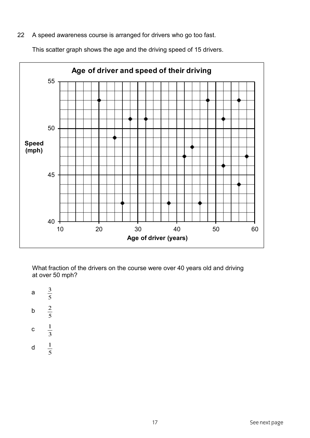A speed awareness course is arranged for drivers who go too fast. 22

This scatter graph shows the age and the driving speed of 15 drivers.



What fraction of the drivers on the course were over 40 years old and driving at over 50 mph?

- $\frac{3}{5}$  $\mathsf{a}$
- $\frac{2}{5}$  $b$
- 
- $\frac{1}{3}$  $\mathbf C$
- $rac{1}{5}$  $\mathsf d$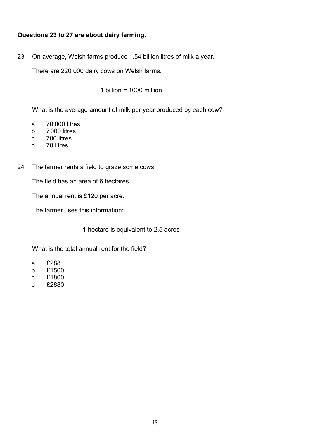## Questions 23 to 27 are about dairy farming.

23 On average, Welsh farms produce 1.54 billion litres of milk a year.

There are 220 000 dairy cows on Welsh farms.

1 billion =  $1000$  million

What is the average amount of milk per year produced by each cow?

- a 70 000 litres
- b 7000 litres
- c 700 litres
- d 70 litres
- 24 The farmer rents a field to graze some cows.

The field has an area of 6 hectares.

The annual rent is £120 per acre.

The farmer uses this information:

1 hectare is equivalent to 2.5 acres

What is the total annual rent for the field?

- a £288
- b £1500
- c £1800
- d  $£2880$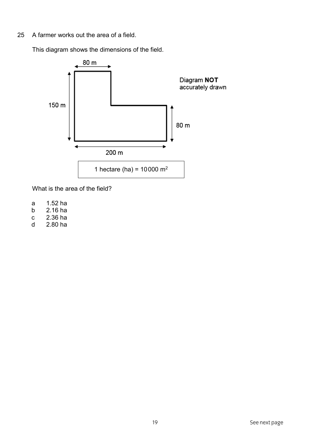25 A farmer works out the area of a field.

This diagram shows the dimensions of the field.



What is the area of the field?

- a 1.52 ha
- b 2.16 ha
- c 2.36 ha
- d 2.80 ha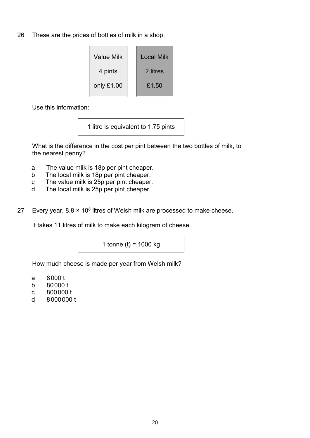26 These are the prices of bottles of milk in a shop.

| <b>Value Milk</b> |  | Local Milk |
|-------------------|--|------------|
| 4 pints           |  | 2 litres   |
| only £1.00        |  | £1.50      |

Use this information:

1 litre is equivalent to 1.75 pints

What is the difference in the cost per pint between the two bottles of milk, to the nearest penny?

- The value milk is 18p per pint cheaper. a
- The local milk is 18p per pint cheaper.  $b$
- The value milk is 25p per pint cheaper.  $\mathbf{C}$
- The local milk is 25p per pint cheaper.  $\mathsf{d}$
- Every year,  $8.8 \times 10^8$  litres of Welsh milk are processed to make cheese. 27

It takes 11 litres of milk to make each kilogram of cheese.

1 tonne (t) =  $1000$  kg

How much cheese is made per year from Welsh milk?

- 8000 t a
- 80000 t  $\mathsf{b}$
- $\mathbf{C}$ 800000 t
- $\mathsf{d}$ 8000000 t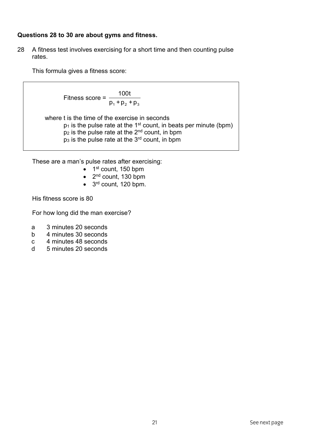#### Questions 28 to 30 are about gyms and fitness.

28 A fitness test involves exercising for a short time and then counting pulse rates.

This formula gives a fitness score:

$$
Fitness score = \frac{100t}{p_1 + p_2 + p_3}
$$

where t is the time of the exercise in seconds  $p_1$  is the pulse rate at the 1<sup>st</sup> count, in beats per minute (bpm)  $p_2$  is the pulse rate at the  $2^{nd}$  count, in bpm<br>p<sub>3</sub> is the pulse rate at the  $3^{rd}$  count, in bpm

These are a man's pulse rates after exercising:

- $\bullet$  1<sup>st</sup> count, 150 bpm
- $\bullet$  2<sup>nd</sup> count, 130 bpm
- $\bullet$  3<sup>rd</sup> count, 120 bpm.

His fitness score is 80

For how long did the man exercise?

- 3 minutes 20 seconds a
- $b$ 4 minutes 30 seconds
- $\mathbf{C}$ 4 minutes 48 seconds
- $\mathsf{d}$ 5 minutes 20 seconds